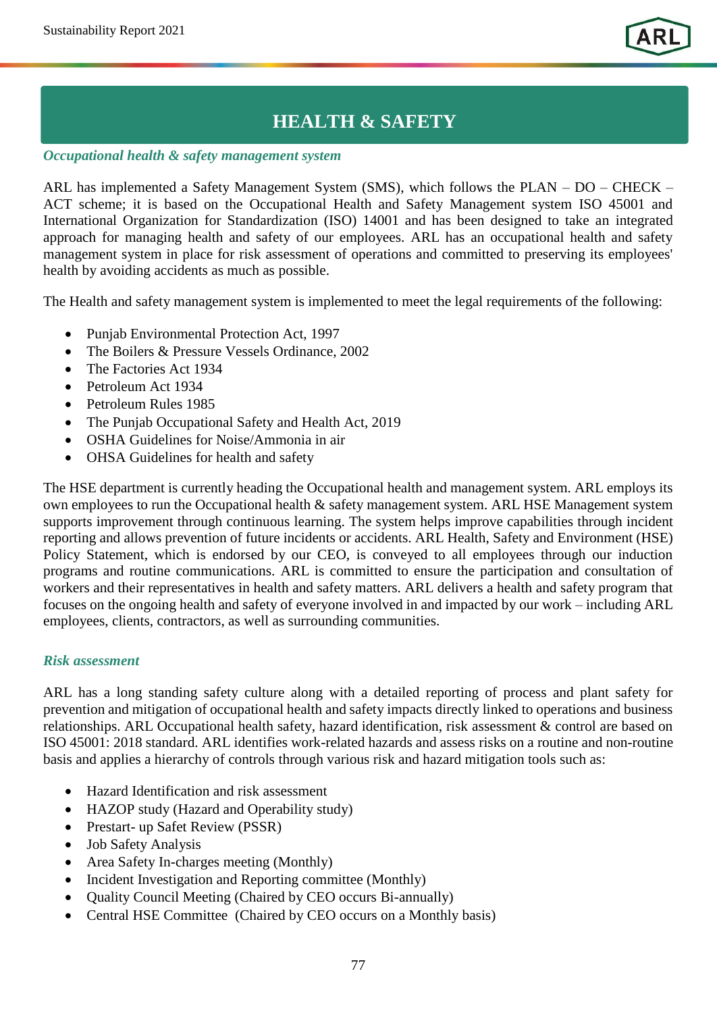# **HEALTH & SAFETY**

#### *Occupational health & safety management system*

ARL has implemented a Safety Management System (SMS), which follows the PLAN – DO – CHECK – ACT scheme; it is based on the Occupational Health and Safety Management system ISO 45001 and International Organization for Standardization (ISO) 14001 and has been designed to take an integrated approach for managing health and safety of our employees. ARL has an occupational health and safety management system in place for risk assessment of operations and committed to preserving its employees' health by avoiding accidents as much as possible.

The Health and safety management system is implemented to meet the legal requirements of the following:

- Punjab Environmental Protection Act, 1997
- The Boilers & Pressure Vessels Ordinance, 2002
- The Factories Act 1934
- Petroleum Act 1934
- Petroleum Rules 1985
- The Punjab Occupational Safety and Health Act, 2019
- OSHA Guidelines for Noise/Ammonia in air
- OHSA Guidelines for health and safety

The HSE department is currently heading the Occupational health and management system. ARL employs its own employees to run the Occupational health & safety management system. ARL HSE Management system supports improvement through continuous learning. The system helps improve capabilities through incident reporting and allows prevention of future incidents or accidents. ARL Health, Safety and Environment (HSE) Policy Statement, which is endorsed by our CEO, is conveyed to all employees through our induction programs and routine communications. ARL is committed to ensure the participation and consultation of workers and their representatives in health and safety matters. ARL delivers a health and safety program that focuses on the ongoing health and safety of everyone involved in and impacted by our work – including ARL employees, clients, contractors, as well as surrounding communities.

#### *Risk assessment*

ARL has a long standing safety culture along with a detailed reporting of process and plant safety for prevention and mitigation of occupational health and safety impacts directly linked to operations and business relationships. ARL Occupational health safety, hazard identification, risk assessment & control are based on ISO 45001: 2018 standard. ARL identifies work-related hazards and assess risks on a routine and non-routine basis and applies a hierarchy of controls through various risk and hazard mitigation tools such as:

- Hazard Identification and risk assessment
- HAZOP study (Hazard and Operability study)
- Prestart- up Safet Review (PSSR)
- Job Safety Analysis
- Area Safety In-charges meeting (Monthly)
- Incident Investigation and Reporting committee (Monthly)
- Quality Council Meeting (Chaired by CEO occurs Bi-annually)
- Central HSE Committee (Chaired by CEO occurs on a Monthly basis)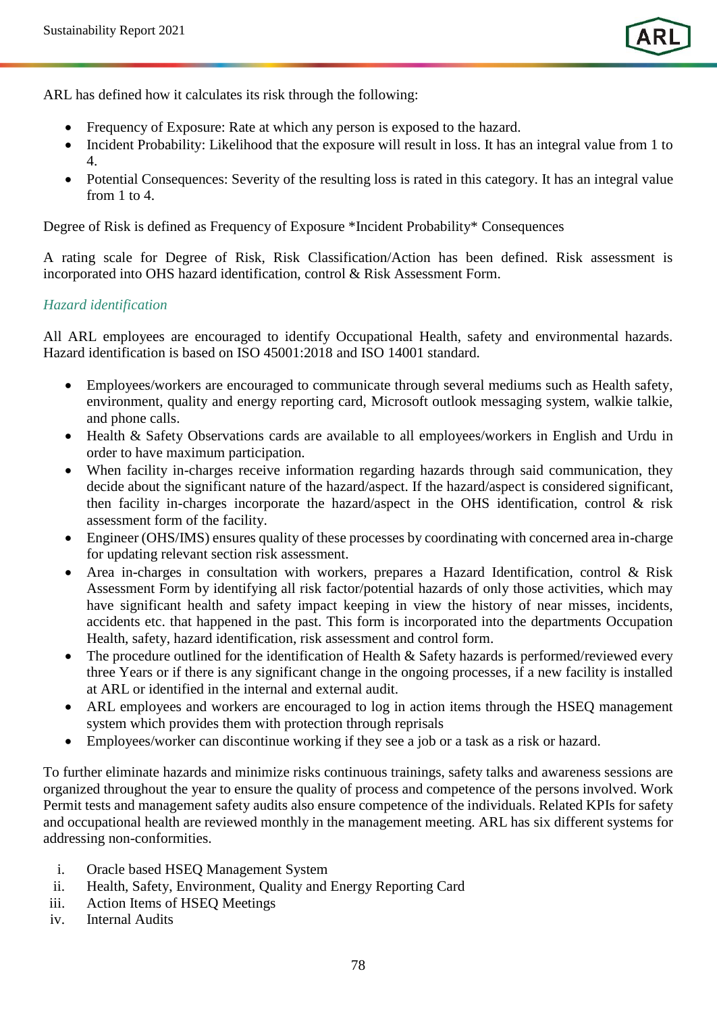ARL has defined how it calculates its risk through the following:

- Frequency of Exposure: Rate at which any person is exposed to the hazard.
- Incident Probability: Likelihood that the exposure will result in loss. It has an integral value from 1 to 4.
- Potential Consequences: Severity of the resulting loss is rated in this category. It has an integral value from 1 to 4.

Degree of Risk is defined as Frequency of Exposure \*Incident Probability\* Consequences

A rating scale for Degree of Risk, Risk Classification/Action has been defined. Risk assessment is incorporated into OHS hazard identification, control & Risk Assessment Form.

#### *Hazard identification*

All ARL employees are encouraged to identify Occupational Health, safety and environmental hazards. Hazard identification is based on ISO 45001:2018 and ISO 14001 standard.

- Employees/workers are encouraged to communicate through several mediums such as Health safety, environment, quality and energy reporting card, Microsoft outlook messaging system, walkie talkie, and phone calls.
- Health & Safety Observations cards are available to all employees/workers in English and Urdu in order to have maximum participation.
- When facility in-charges receive information regarding hazards through said communication, they decide about the significant nature of the hazard/aspect. If the hazard/aspect is considered significant, then facility in-charges incorporate the hazard/aspect in the OHS identification, control & risk assessment form of the facility.
- Engineer (OHS/IMS) ensures quality of these processes by coordinating with concerned area in-charge for updating relevant section risk assessment.
- Area in-charges in consultation with workers, prepares a Hazard Identification, control & Risk Assessment Form by identifying all risk factor/potential hazards of only those activities, which may have significant health and safety impact keeping in view the history of near misses, incidents, accidents etc. that happened in the past. This form is incorporated into the departments Occupation Health, safety, hazard identification, risk assessment and control form.
- The procedure outlined for the identification of Health & Safety hazards is performed/reviewed every three Years or if there is any significant change in the ongoing processes, if a new facility is installed at ARL or identified in the internal and external audit.
- ARL employees and workers are encouraged to log in action items through the HSEQ management system which provides them with protection through reprisals
- Employees/worker can discontinue working if they see a job or a task as a risk or hazard.

To further eliminate hazards and minimize risks continuous trainings, safety talks and awareness sessions are organized throughout the year to ensure the quality of process and competence of the persons involved. Work Permit tests and management safety audits also ensure competence of the individuals. Related KPIs for safety and occupational health are reviewed monthly in the management meeting. ARL has six different systems for addressing non-conformities.

- i. Oracle based HSEQ Management System
- ii. Health, Safety, Environment, Quality and Energy Reporting Card
- iii. Action Items of HSEQ Meetings
- iv. Internal Audits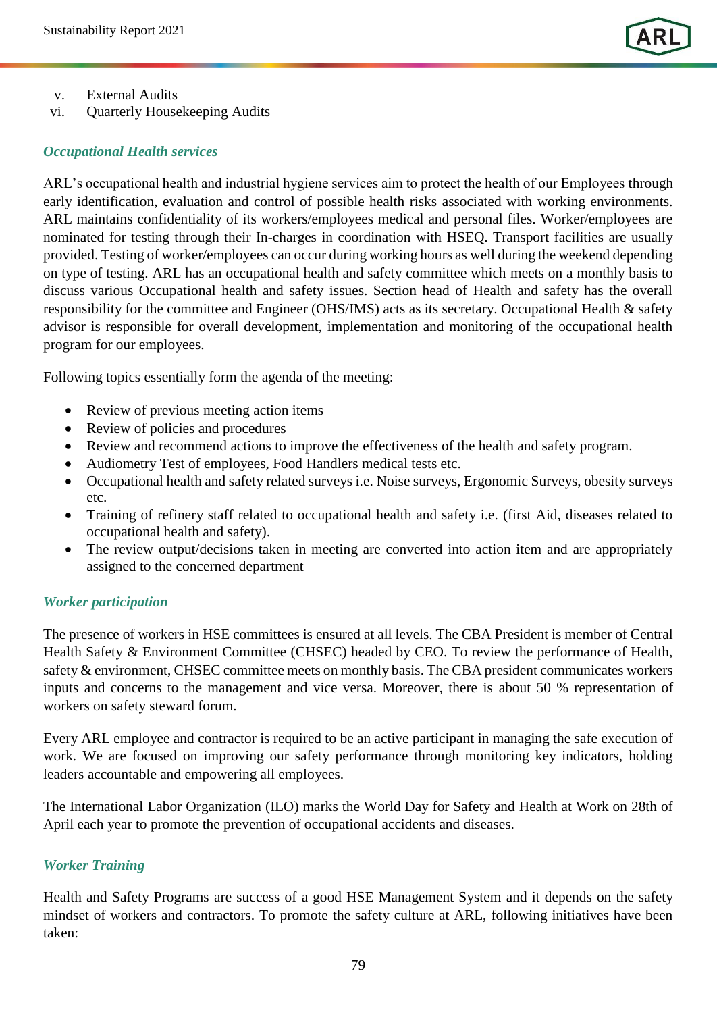

- v. External Audits
- vi. Quarterly Housekeeping Audits

#### *Occupational Health services*

ARL's occupational health and industrial hygiene services aim to protect the health of our Employees through early identification, evaluation and control of possible health risks associated with working environments. ARL maintains confidentiality of its workers/employees medical and personal files. Worker/employees are nominated for testing through their In-charges in coordination with HSEQ. Transport facilities are usually provided. Testing of worker/employees can occur during working hours as well during the weekend depending on type of testing. ARL has an occupational health and safety committee which meets on a monthly basis to discuss various Occupational health and safety issues. Section head of Health and safety has the overall responsibility for the committee and Engineer (OHS/IMS) acts as its secretary. Occupational Health & safety advisor is responsible for overall development, implementation and monitoring of the occupational health program for our employees.

Following topics essentially form the agenda of the meeting:

- Review of previous meeting action items
- Review of policies and procedures
- Review and recommend actions to improve the effectiveness of the health and safety program.
- Audiometry Test of employees, Food Handlers medical tests etc.
- Occupational health and safety related surveys i.e. Noise surveys, Ergonomic Surveys, obesity surveys etc.
- Training of refinery staff related to occupational health and safety i.e. (first Aid, diseases related to occupational health and safety).
- The review output/decisions taken in meeting are converted into action item and are appropriately assigned to the concerned department

## *Worker participation*

The presence of workers in HSE committees is ensured at all levels. The CBA President is member of Central Health Safety & Environment Committee (CHSEC) headed by CEO. To review the performance of Health, safety & environment, CHSEC committee meets on monthly basis. The CBA president communicates workers inputs and concerns to the management and vice versa. Moreover, there is about 50 % representation of workers on safety steward forum.

Every ARL employee and contractor is required to be an active participant in managing the safe execution of work. We are focused on improving our safety performance through monitoring key indicators, holding leaders accountable and empowering all employees.

The International Labor Organization (ILO) marks the World Day for Safety and Health at Work on 28th of April each year to promote the prevention of occupational accidents and diseases.

## *Worker Training*

Health and Safety Programs are success of a good HSE Management System and it depends on the safety mindset of workers and contractors. To promote the safety culture at ARL, following initiatives have been taken: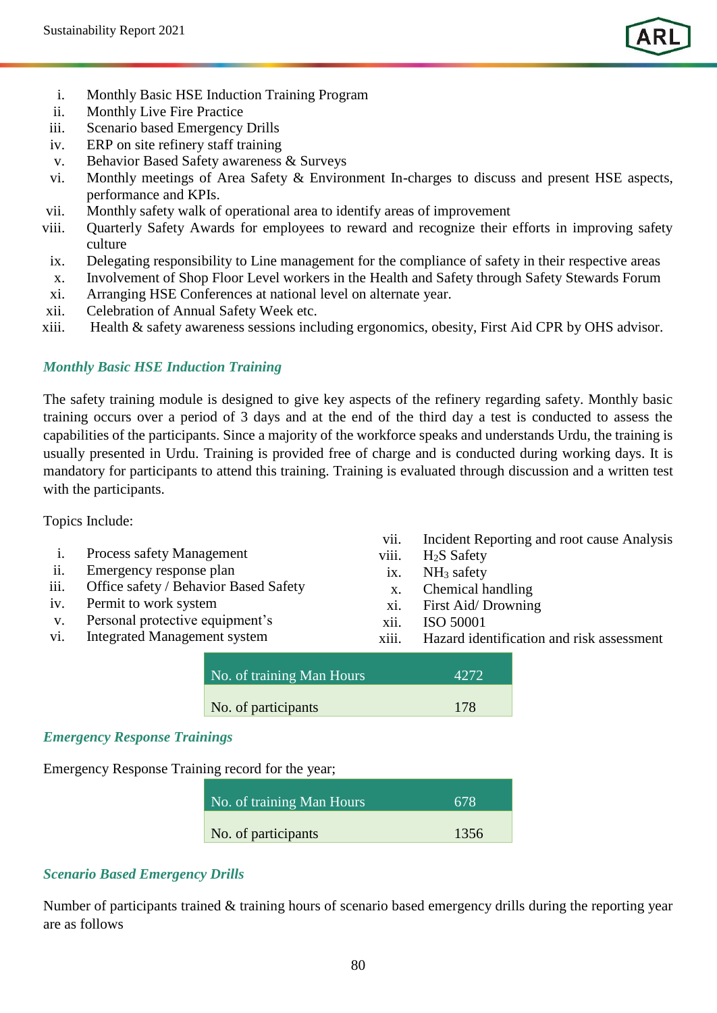

- i. Monthly Basic HSE Induction Training Program
- ii. Monthly Live Fire Practice
- iii. Scenario based Emergency Drills
- iv. ERP on site refinery staff training
- v. Behavior Based Safety awareness & Surveys
- vi. Monthly meetings of Area Safety  $\&$  Environment In-charges to discuss and present HSE aspects, performance and KPIs.
- vii. Monthly safety walk of operational area to identify areas of improvement
- viii. Quarterly Safety Awards for employees to reward and recognize their efforts in improving safety culture
- ix. Delegating responsibility to Line management for the compliance of safety in their respective areas
- x. Involvement of Shop Floor Level workers in the Health and Safety through Safety Stewards Forum
- xi. Arranging HSE Conferences at national level on alternate year.
- xii. Celebration of Annual Safety Week etc.
- xiii. Health & safety awareness sessions including ergonomics, obesity, First Aid CPR by OHS advisor.

## *Monthly Basic HSE Induction Training*

The safety training module is designed to give key aspects of the refinery regarding safety. Monthly basic training occurs over a period of 3 days and at the end of the third day a test is conducted to assess the capabilities of the participants. Since a majority of the workforce speaks and understands Urdu, the training is usually presented in Urdu. Training is provided free of charge and is conducted during working days. It is mandatory for participants to attend this training. Training is evaluated through discussion and a written test with the participants.

#### Topics Include:

- i. Process safety Management
- ii. Emergency response plan
- iii. Office safety / Behavior Based Safety
- iv. Permit to work system
- v. Personal protective equipment's
- vi. Integrated Management system
- vii. Incident Reporting and root cause Analysis
- viii. H<sub>2</sub>S Safety
- ix. NH<sub>3</sub> safety
- x. Chemical handling
- xi. First Aid/ Drowning
- xii. ISO 50001
- xiii. Hazard identification and risk assessment

| No. of training Man Hours | 4272 |  |
|---------------------------|------|--|
| No. of participants       | 178  |  |

#### *Emergency Response Trainings*

Emergency Response Training record for the year;

| No. of training Man Hours | 678  |
|---------------------------|------|
| No. of participants       | 1356 |

## *Scenario Based Emergency Drills*

Number of participants trained & training hours of scenario based emergency drills during the reporting year are as follows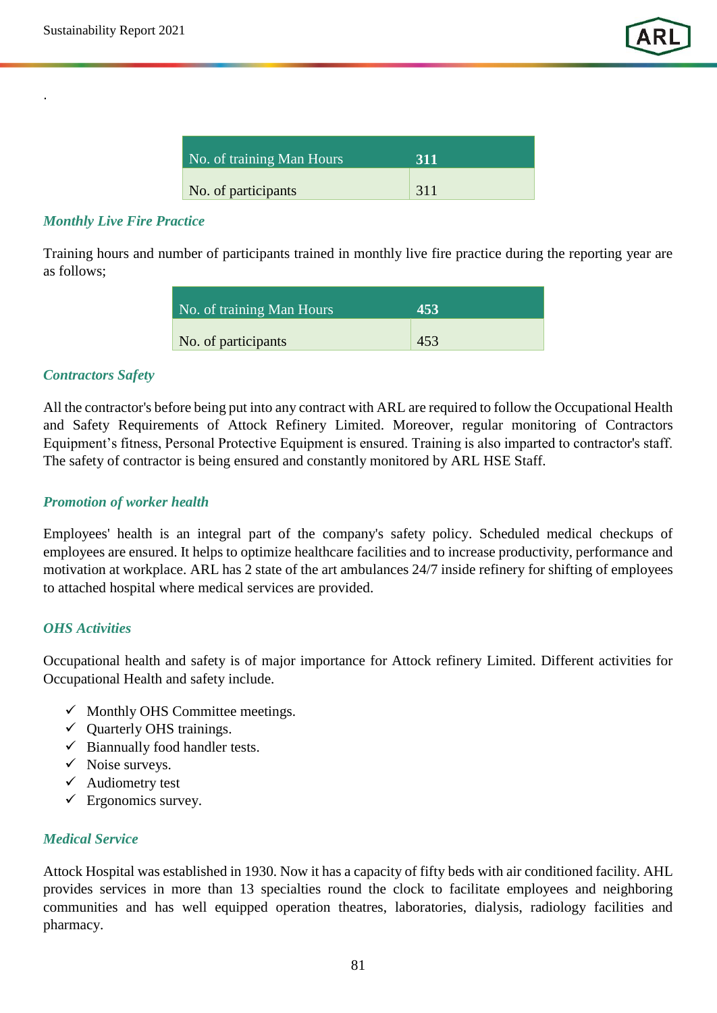.

| No. of training Man Hours | 311 |
|---------------------------|-----|
| No. of participants       | 311 |

## *Monthly Live Fire Practice*

Training hours and number of participants trained in monthly live fire practice during the reporting year are as follows;

| No. of training Man Hours | 453 |  |
|---------------------------|-----|--|
| No. of participants       | 453 |  |

## *Contractors Safety*

All the contractor's before being put into any contract with ARL are required to follow the Occupational Health and Safety Requirements of Attock Refinery Limited. Moreover, regular monitoring of Contractors Equipment's fitness, Personal Protective Equipment is ensured. Training is also imparted to contractor's staff. The safety of contractor is being ensured and constantly monitored by ARL HSE Staff.

#### *Promotion of worker health*

Employees' health is an integral part of the company's safety policy. Scheduled medical checkups of employees are ensured. It helps to optimize healthcare facilities and to increase productivity, performance and motivation at workplace. ARL has 2 state of the art ambulances 24/7 inside refinery for shifting of employees to attached hospital where medical services are provided.

#### *OHS Activities*

Occupational health and safety is of major importance for Attock refinery Limited. Different activities for Occupational Health and safety include.

- $\checkmark$  Monthly OHS Committee meetings.
- $\checkmark$  Quarterly OHS trainings.
- $\checkmark$  Biannually food handler tests.
- $\checkmark$  Noise surveys.
- $\checkmark$  Audiometry test
- $\checkmark$  Ergonomics survey.

## *Medical Service*

Attock Hospital was established in 1930. Now it has a capacity of fifty beds with air conditioned facility. AHL provides services in more than 13 specialties round the clock to facilitate employees and neighboring communities and has well equipped operation theatres, laboratories, dialysis, radiology facilities and pharmacy.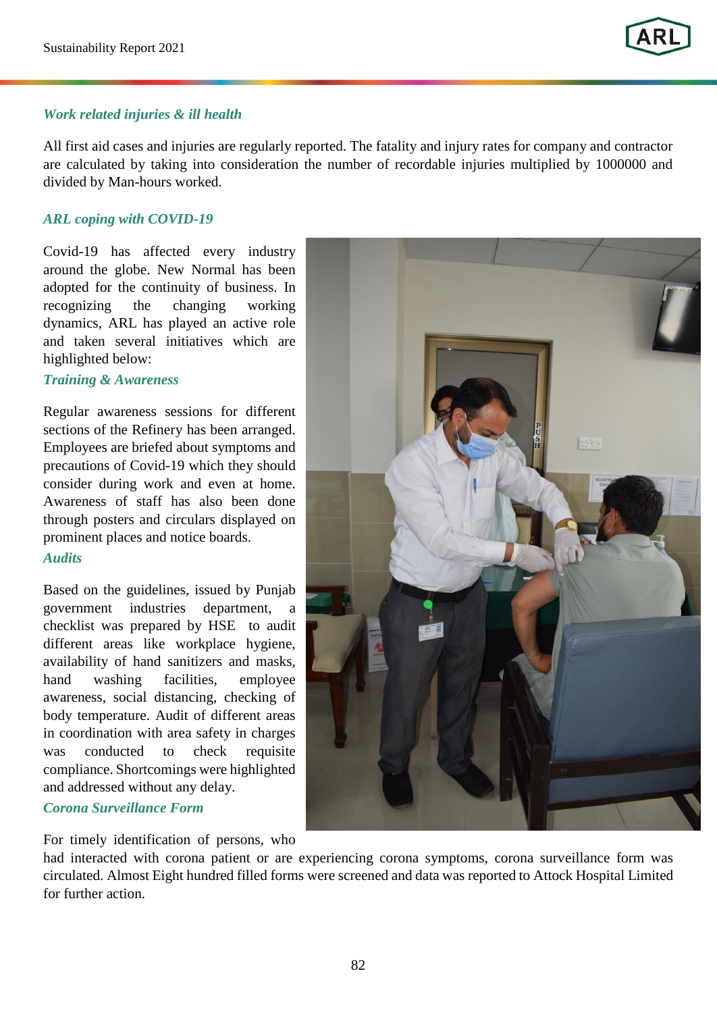#### *Work related injuries & ill health*

All first aid cases and injuries are regularly reported. The fatality and injury rates for company and contractor are calculated by taking into consideration the number of recordable injuries multiplied by 1000000 and divided by Man-hours worked.

#### *ARL coping with COVID-19*

Covid-19 has affected every industry around the globe. New Normal has been adopted for the continuity of business. In recognizing the changing working dynamics, ARL has played an active role and taken several initiatives which are highlighted below:

#### *Training & Awareness*

Regular awareness sessions for different sections of the Refinery has been arranged. Employees are briefed about symptoms and precautions of Covid-19 which they should consider during work and even at home. Awareness of staff has also been done through posters and circulars displayed on prominent places and notice boards.

#### *Audits*

Based on the guidelines, issued by Punjab government industries department, a checklist was prepared by HSE to audit different areas like workplace hygiene, availability of hand sanitizers and masks, hand washing facilities, employee awareness, social distancing, checking of body temperature. Audit of different areas in coordination with area safety in charges was conducted to check requisite compliance. Shortcomings were highlighted and addressed without any delay.

### *Corona Surveillance Form*

For timely identification of persons, who



had interacted with corona patient or are experiencing corona symptoms, corona surveillance form was circulated. Almost Eight hundred filled forms were screened and data was reported to Attock Hospital Limited for further action.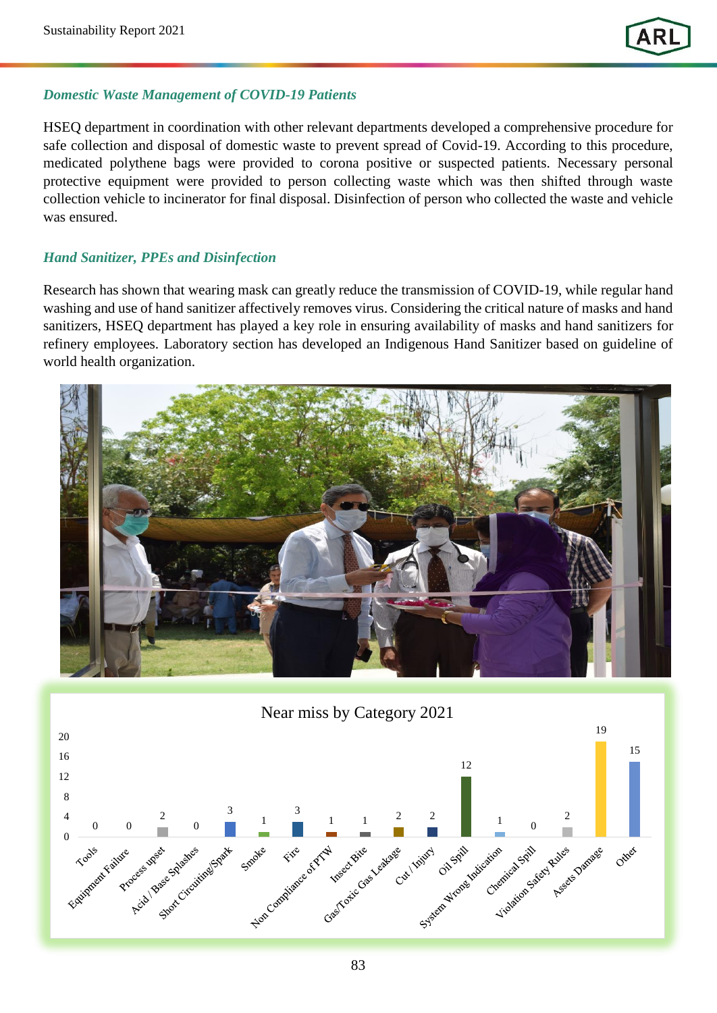## *Domestic Waste Management of COVID-19 Patients*

HSEQ department in coordination with other relevant departments developed a comprehensive procedure for safe collection and disposal of domestic waste to prevent spread of Covid-19. According to this procedure, medicated polythene bags were provided to corona positive or suspected patients. Necessary personal protective equipment were provided to person collecting waste which was then shifted through waste collection vehicle to incinerator for final disposal. Disinfection of person who collected the waste and vehicle was ensured.

## *Hand Sanitizer, PPEs and Disinfection*

Research has shown that wearing mask can greatly reduce the transmission of COVID-19, while regular hand washing and use of hand sanitizer affectively removes virus. Considering the critical nature of masks and hand sanitizers, HSEQ department has played a key role in ensuring availability of masks and hand sanitizers for refinery employees. Laboratory section has developed an Indigenous Hand Sanitizer based on guideline of world health organization.